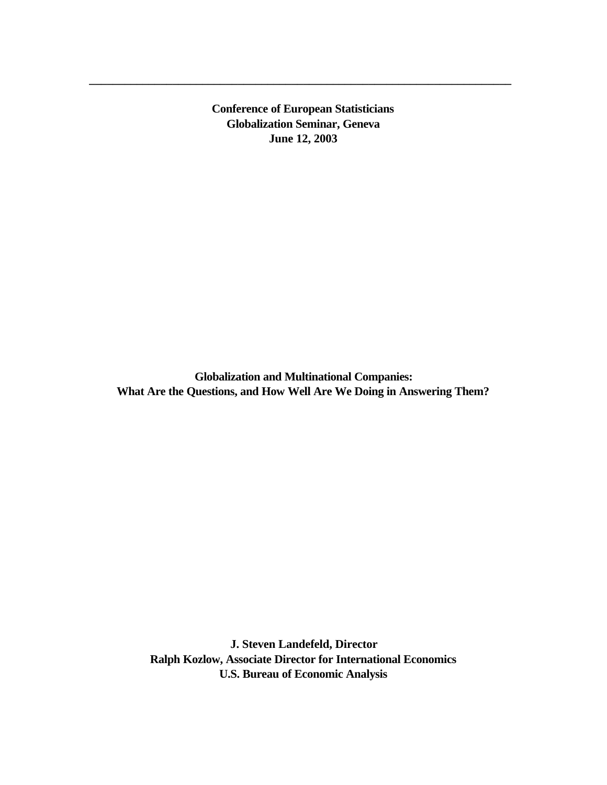**Conference of European Statisticians Globalization Seminar, Geneva June 12, 2003**

**\_\_\_\_\_\_\_\_\_\_\_\_\_\_\_\_\_\_\_\_\_\_\_\_\_\_\_\_\_\_\_\_\_\_\_\_\_\_\_\_\_\_\_\_\_\_\_\_\_\_\_\_\_\_\_\_\_\_\_\_\_\_\_\_\_\_\_\_\_\_\_** 

**Globalization and Multinational Companies: What Are the Questions, and How Well Are We Doing in Answering Them?**

**J. Steven Landefeld, Director Ralph Kozlow, Associate Director for International Economics U.S. Bureau of Economic Analysis**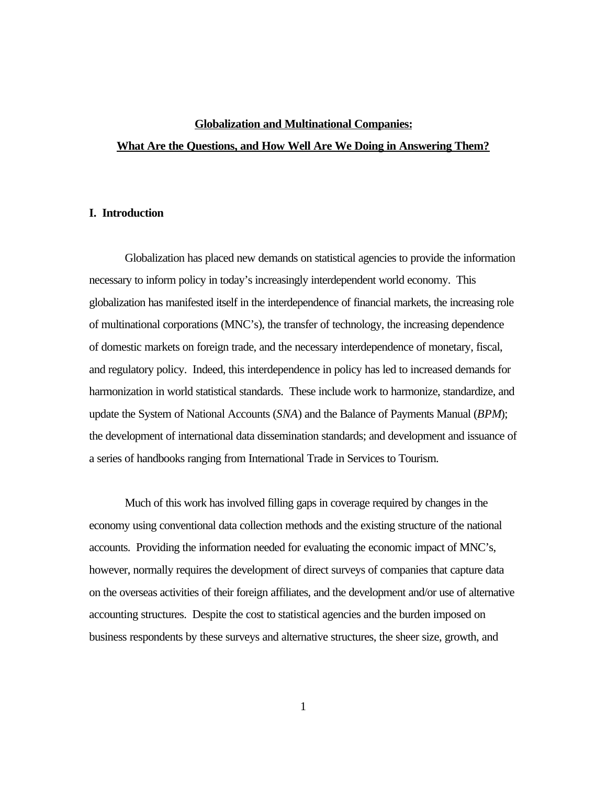# **Globalization and Multinational Companies: What Are the Questions, and How Well Are We Doing in Answering Them?**

### **I. Introduction**

Globalization has placed new demands on statistical agencies to provide the information necessary to inform policy in today's increasingly interdependent world economy. This globalization has manifested itself in the interdependence of financial markets, the increasing role of multinational corporations (MNC's), the transfer of technology, the increasing dependence of domestic markets on foreign trade, and the necessary interdependence of monetary, fiscal, and regulatory policy. Indeed, this interdependence in policy has led to increased demands for harmonization in world statistical standards. These include work to harmonize, standardize, and update the System of National Accounts (*SNA*) and the Balance of Payments Manual (*BPM*); the development of international data dissemination standards; and development and issuance of a series of handbooks ranging from International Trade in Services to Tourism.

Much of this work has involved filling gaps in coverage required by changes in the economy using conventional data collection methods and the existing structure of the national accounts. Providing the information needed for evaluating the economic impact of MNC's, however, normally requires the development of direct surveys of companies that capture data on the overseas activities of their foreign affiliates, and the development and/or use of alternative accounting structures. Despite the cost to statistical agencies and the burden imposed on business respondents by these surveys and alternative structures, the sheer size, growth, and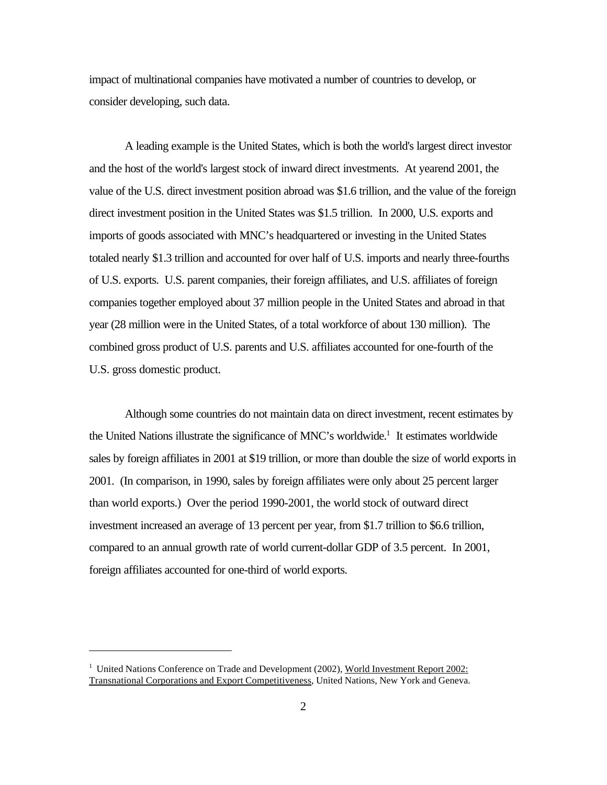impact of multinational companies have motivated a number of countries to develop, or consider developing, such data.

A leading example is the United States, which is both the world's largest direct investor and the host of the world's largest stock of inward direct investments. At yearend 2001, the value of the U.S. direct investment position abroad was \$1.6 trillion, and the value of the foreign direct investment position in the United States was \$1.5 trillion. In 2000, U.S. exports and imports of goods associated with MNC's headquartered or investing in the United States totaled nearly \$1.3 trillion and accounted for over half of U.S. imports and nearly three-fourths of U.S. exports. U.S. parent companies, their foreign affiliates, and U.S. affiliates of foreign companies together employed about 37 million people in the United States and abroad in that year (28 million were in the United States, of a total workforce of about 130 million). The combined gross product of U.S. parents and U.S. affiliates accounted for one-fourth of the U.S. gross domestic product.

Although some countries do not maintain data on direct investment, recent estimates by the United Nations illustrate the significance of MNC's worldwide.<sup>1</sup> It estimates worldwide sales by foreign affiliates in 2001 at \$19 trillion, or more than double the size of world exports in 2001. (In comparison, in 1990, sales by foreign affiliates were only about 25 percent larger than world exports.) Over the period 1990-2001, the world stock of outward direct investment increased an average of 13 percent per year, from \$1.7 trillion to \$6.6 trillion, compared to an annual growth rate of world current-dollar GDP of 3.5 percent. In 2001, foreign affiliates accounted for one-third of world exports.

<sup>&</sup>lt;sup>1</sup> United Nations Conference on Trade and Development (2002), World Investment Report 2002: Transnational Corporations and Export Competitiveness, United Nations, New York and Geneva.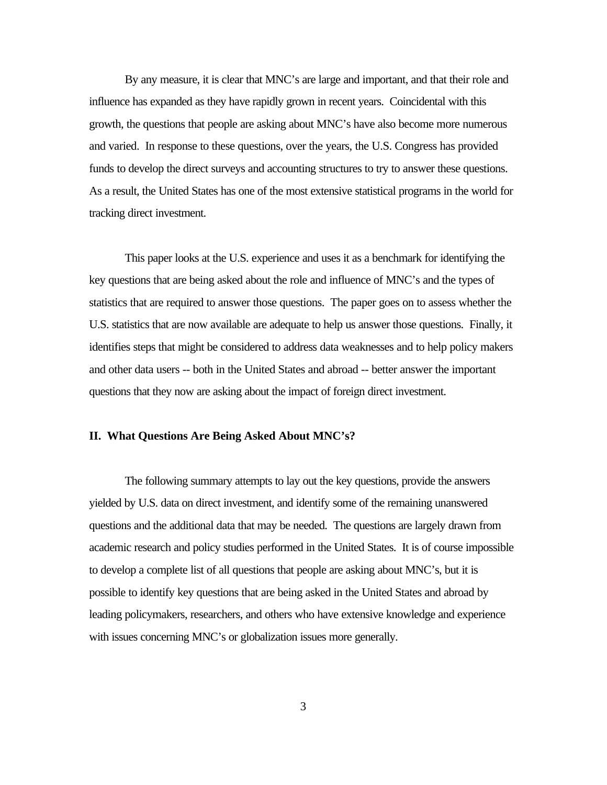By any measure, it is clear that MNC's are large and important, and that their role and influence has expanded as they have rapidly grown in recent years. Coincidental with this growth, the questions that people are asking about MNC's have also become more numerous and varied. In response to these questions, over the years, the U.S. Congress has provided funds to develop the direct surveys and accounting structures to try to answer these questions. As a result, the United States has one of the most extensive statistical programs in the world for tracking direct investment.

This paper looks at the U.S. experience and uses it as a benchmark for identifying the key questions that are being asked about the role and influence of MNC's and the types of statistics that are required to answer those questions. The paper goes on to assess whether the U.S. statistics that are now available are adequate to help us answer those questions. Finally, it identifies steps that might be considered to address data weaknesses and to help policy makers and other data users -- both in the United States and abroad -- better answer the important questions that they now are asking about the impact of foreign direct investment.

### **II. What Questions Are Being Asked About MNC's?**

The following summary attempts to lay out the key questions, provide the answers yielded by U.S. data on direct investment, and identify some of the remaining unanswered questions and the additional data that may be needed. The questions are largely drawn from academic research and policy studies performed in the United States. It is of course impossible to develop a complete list of all questions that people are asking about MNC's, but it is possible to identify key questions that are being asked in the United States and abroad by leading policymakers, researchers, and others who have extensive knowledge and experience with issues concerning MNC's or globalization issues more generally.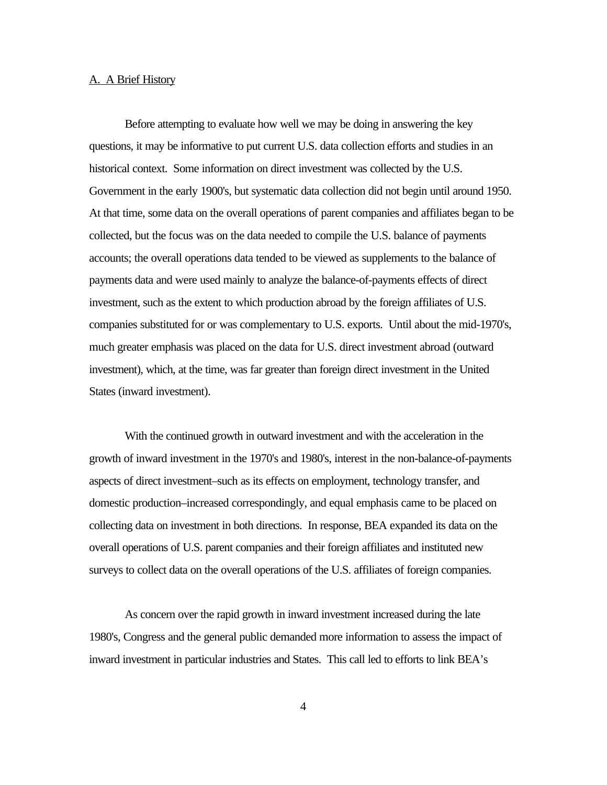#### A. A Brief History

Before attempting to evaluate how well we may be doing in answering the key questions, it may be informative to put current U.S. data collection efforts and studies in an historical context. Some information on direct investment was collected by the U.S. Government in the early 1900's, but systematic data collection did not begin until around 1950. At that time, some data on the overall operations of parent companies and affiliates began to be collected, but the focus was on the data needed to compile the U.S. balance of payments accounts; the overall operations data tended to be viewed as supplements to the balance of payments data and were used mainly to analyze the balance-of-payments effects of direct investment, such as the extent to which production abroad by the foreign affiliates of U.S. companies substituted for or was complementary to U.S. exports. Until about the mid-1970's, much greater emphasis was placed on the data for U.S. direct investment abroad (outward investment), which, at the time, was far greater than foreign direct investment in the United States (inward investment).

With the continued growth in outward investment and with the acceleration in the growth of inward investment in the 1970's and 1980's, interest in the non-balance-of-payments aspects of direct investment–such as its effects on employment, technology transfer, and domestic production–increased correspondingly, and equal emphasis came to be placed on collecting data on investment in both directions. In response, BEA expanded its data on the overall operations of U.S. parent companies and their foreign affiliates and instituted new surveys to collect data on the overall operations of the U.S. affiliates of foreign companies.

As concern over the rapid growth in inward investment increased during the late 1980's, Congress and the general public demanded more information to assess the impact of inward investment in particular industries and States. This call led to efforts to link BEA's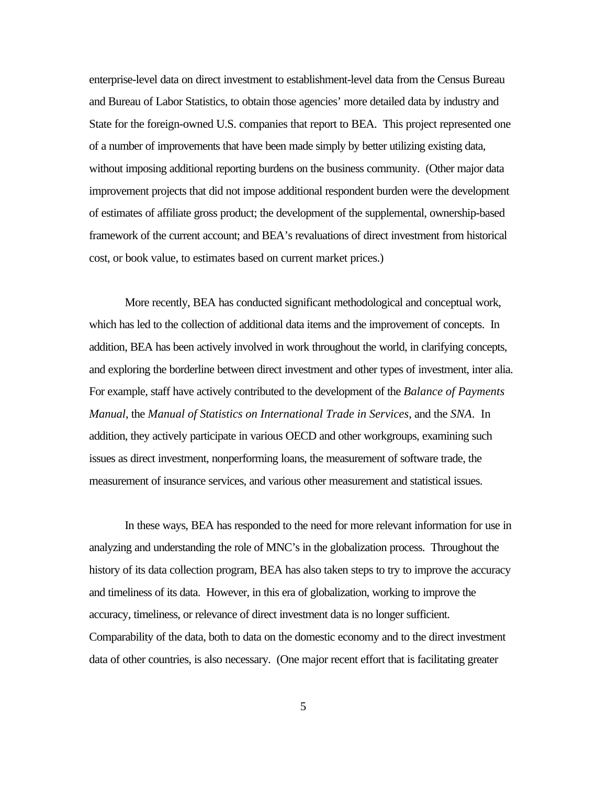enterprise-level data on direct investment to establishment-level data from the Census Bureau and Bureau of Labor Statistics, to obtain those agencies' more detailed data by industry and State for the foreign-owned U.S. companies that report to BEA. This project represented one of a number of improvements that have been made simply by better utilizing existing data, without imposing additional reporting burdens on the business community. (Other major data improvement projects that did not impose additional respondent burden were the development of estimates of affiliate gross product; the development of the supplemental, ownership-based framework of the current account; and BEA's revaluations of direct investment from historical cost, or book value, to estimates based on current market prices.)

More recently, BEA has conducted significant methodological and conceptual work, which has led to the collection of additional data items and the improvement of concepts. In addition, BEA has been actively involved in work throughout the world, in clarifying concepts, and exploring the borderline between direct investment and other types of investment, inter alia. For example, staff have actively contributed to the development of the *Balance of Payments Manual*, the *Manual of Statistics on International Trade in Services*, and the *SNA*. In addition, they actively participate in various OECD and other workgroups, examining such issues as direct investment, nonperforming loans, the measurement of software trade, the measurement of insurance services, and various other measurement and statistical issues.

In these ways, BEA has responded to the need for more relevant information for use in analyzing and understanding the role of MNC's in the globalization process. Throughout the history of its data collection program, BEA has also taken steps to try to improve the accuracy and timeliness of its data. However, in this era of globalization, working to improve the accuracy, timeliness, or relevance of direct investment data is no longer sufficient. Comparability of the data, both to data on the domestic economy and to the direct investment data of other countries, is also necessary. (One major recent effort that is facilitating greater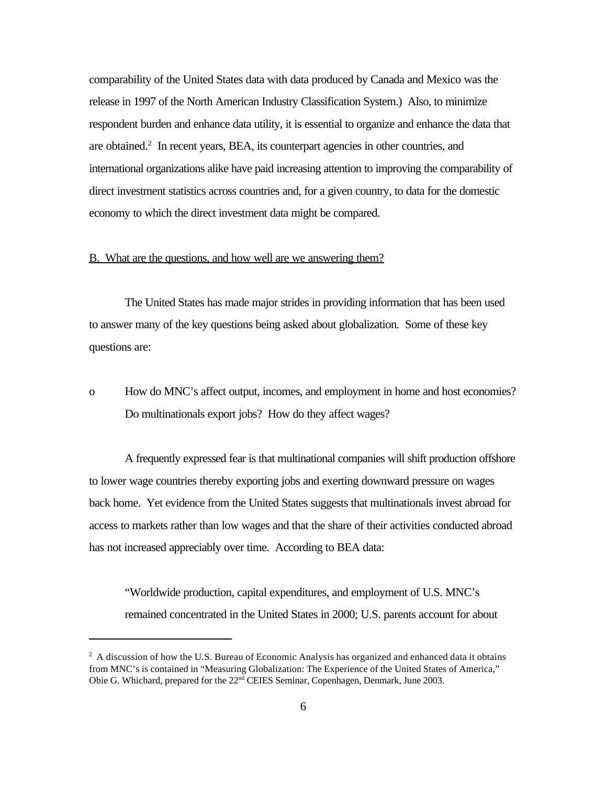comparability of the United States data with data produced by Canada and Mexico was the release in 1997 of the North American Industry Classification System.) Also, to minimize respondent burden and enhance data utility, it is essential to organize and enhance the data that are obtained.<sup>2</sup> In recent years, BEA, its counterpart agencies in other countries, and international organizations alike have paid increasing attention to improving the comparability of direct investment statistics across countries and, for a given country, to data for the domestic economy to which the direct investment data might be compared.

### B. What are the questions, and how well are we answering them?

The United States has made major strides in providing information that has been used to answer many of the key questions being asked about globalization. Some of these key questions are:

o How do MNC's affect output, incomes, and employment in home and host economies? Do multinationals export jobs? How do they affect wages?

A frequently expressed fear is that multinational companies will shift production offshore to lower wage countries thereby exporting jobs and exerting downward pressure on wages back home. Yet evidence from the United States suggests that multinationals invest abroad for access to markets rather than low wages and that the share of their activities conducted abroad has not increased appreciably over time. According to BEA data:

"Worldwide production, capital expenditures, and employment of U.S. MNC's remained concentrated in the United States in 2000; U.S. parents account for about

 $2$  A discussion of how the U.S. Bureau of Economic Analysis has organized and enhanced data it obtains from MNC's is contained in "Measuring Globalization: The Experience of the United States of America," Obie G. Whichard, prepared for the 22nd CEIES Seminar, Copenhagen, Denmark, June 2003.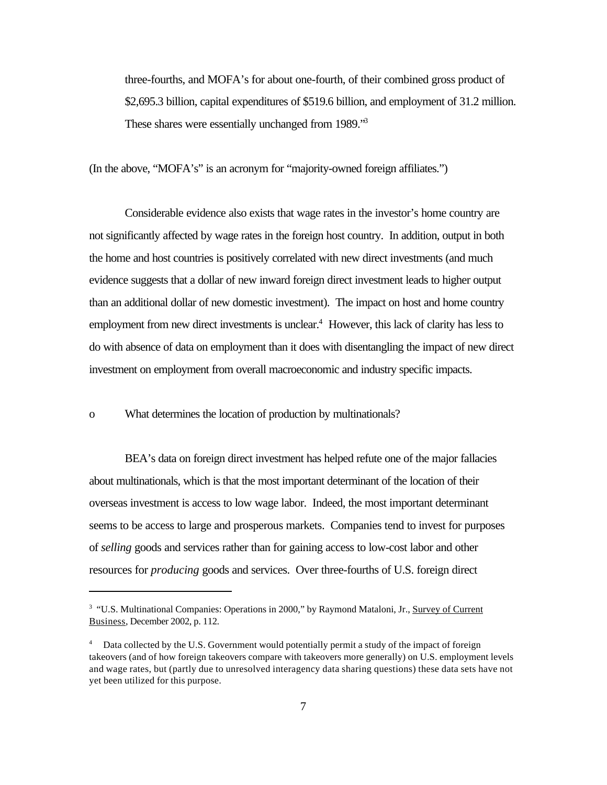three-fourths, and MOFA's for about one-fourth, of their combined gross product of \$2,695.3 billion, capital expenditures of \$519.6 billion, and employment of 31.2 million. These shares were essentially unchanged from 1989."<sup>3</sup>

(In the above, "MOFA's" is an acronym for "majority-owned foreign affiliates.")

Considerable evidence also exists that wage rates in the investor's home country are not significantly affected by wage rates in the foreign host country. In addition, output in both the home and host countries is positively correlated with new direct investments (and much evidence suggests that a dollar of new inward foreign direct investment leads to higher output than an additional dollar of new domestic investment). The impact on host and home country employment from new direct investments is unclear.<sup>4</sup> However, this lack of clarity has less to do with absence of data on employment than it does with disentangling the impact of new direct investment on employment from overall macroeconomic and industry specific impacts.

### o What determines the location of production by multinationals?

BEA's data on foreign direct investment has helped refute one of the major fallacies about multinationals, which is that the most important determinant of the location of their overseas investment is access to low wage labor. Indeed, the most important determinant seems to be access to large and prosperous markets. Companies tend to invest for purposes of *selling* goods and services rather than for gaining access to low-cost labor and other resources for *producing* goods and services. Over three-fourths of U.S. foreign direct

<sup>&</sup>lt;sup>3</sup> "U.S. Multinational Companies: Operations in 2000," by Raymond Mataloni, Jr., Survey of Current Business, December 2002, p. 112.

<sup>&</sup>lt;sup>4</sup> Data collected by the U.S. Government would potentially permit a study of the impact of foreign takeovers (and of how foreign takeovers compare with takeovers more generally) on U.S. employment levels and wage rates, but (partly due to unresolved interagency data sharing questions) these data sets have not yet been utilized for this purpose.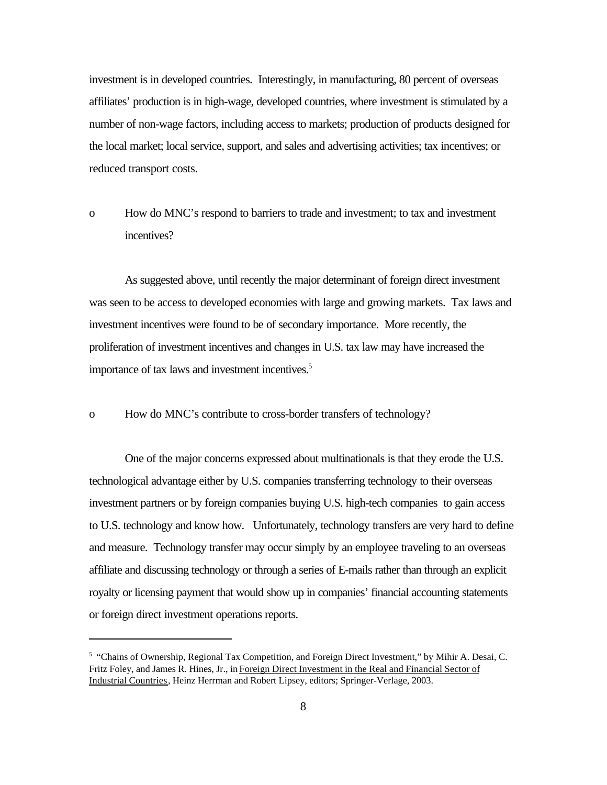investment is in developed countries. Interestingly, in manufacturing, 80 percent of overseas affiliates' production is in high-wage, developed countries, where investment is stimulated by a number of non-wage factors, including access to markets; production of products designed for the local market; local service, support, and sales and advertising activities; tax incentives; or reduced transport costs.

o How do MNC's respond to barriers to trade and investment; to tax and investment incentives?

As suggested above, until recently the major determinant of foreign direct investment was seen to be access to developed economies with large and growing markets. Tax laws and investment incentives were found to be of secondary importance. More recently, the proliferation of investment incentives and changes in U.S. tax law may have increased the importance of tax laws and investment incentives.<sup>5</sup>

o How do MNC's contribute to cross-border transfers of technology?

One of the major concerns expressed about multinationals is that they erode the U.S. technological advantage either by U.S. companies transferring technology to their overseas investment partners or by foreign companies buying U.S. high-tech companies to gain access to U.S. technology and know how. Unfortunately, technology transfers are very hard to define and measure. Technology transfer may occur simply by an employee traveling to an overseas affiliate and discussing technology or through a series of E-mails rather than through an explicit royalty or licensing payment that would show up in companies' financial accounting statements or foreign direct investment operations reports.

<sup>5</sup> "Chains of Ownership, Regional Tax Competition, and Foreign Direct Investment," by Mihir A. Desai, C. Fritz Foley, and James R. Hines, Jr., in Foreign Direct Investment in the Real and Financial Sector of Industrial Countries, Heinz Herrman and Robert Lipsey, editors; Springer-Verlage, 2003.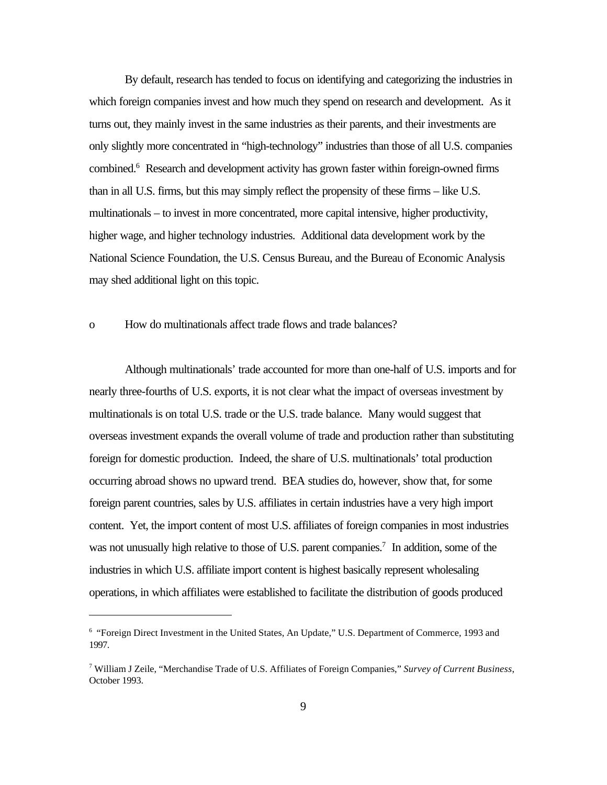By default, research has tended to focus on identifying and categorizing the industries in which foreign companies invest and how much they spend on research and development. As it turns out, they mainly invest in the same industries as their parents, and their investments are only slightly more concentrated in "high-technology" industries than those of all U.S. companies combined.<sup>6</sup> Research and development activity has grown faster within foreign-owned firms than in all U.S. firms, but this may simply reflect the propensity of these firms – like U.S. multinationals – to invest in more concentrated, more capital intensive, higher productivity, higher wage, and higher technology industries. Additional data development work by the National Science Foundation, the U.S. Census Bureau, and the Bureau of Economic Analysis may shed additional light on this topic.

o How do multinationals affect trade flows and trade balances?

Although multinationals' trade accounted for more than one-half of U.S. imports and for nearly three-fourths of U.S. exports, it is not clear what the impact of overseas investment by multinationals is on total U.S. trade or the U.S. trade balance. Many would suggest that overseas investment expands the overall volume of trade and production rather than substituting foreign for domestic production. Indeed, the share of U.S. multinationals' total production occurring abroad shows no upward trend. BEA studies do, however, show that, for some foreign parent countries, sales by U.S. affiliates in certain industries have a very high import content. Yet, the import content of most U.S. affiliates of foreign companies in most industries was not unusually high relative to those of U.S. parent companies.<sup>7</sup> In addition, some of the industries in which U.S. affiliate import content is highest basically represent wholesaling operations, in which affiliates were established to facilitate the distribution of goods produced

<sup>6</sup> "Foreign Direct Investment in the United States, An Update," U.S. Department of Commerce, 1993 and 1997.

<sup>7</sup> William J Zeile, "Merchandise Trade of U.S. Affiliates of Foreign Companies," *Survey of Current Business*, October 1993.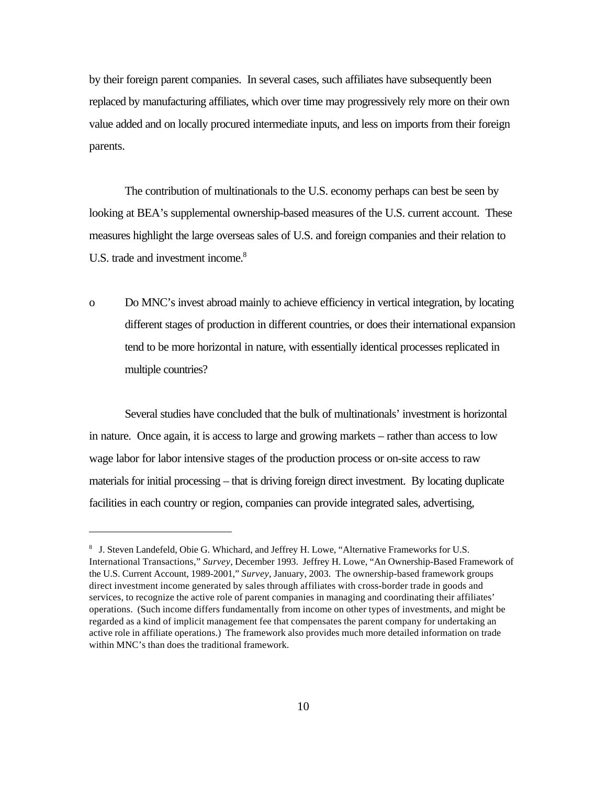by their foreign parent companies. In several cases, such affiliates have subsequently been replaced by manufacturing affiliates, which over time may progressively rely more on their own value added and on locally procured intermediate inputs, and less on imports from their foreign parents.

The contribution of multinationals to the U.S. economy perhaps can best be seen by looking at BEA's supplemental ownership-based measures of the U.S. current account. These measures highlight the large overseas sales of U.S. and foreign companies and their relation to U.S. trade and investment income.<sup>8</sup>

o Do MNC's invest abroad mainly to achieve efficiency in vertical integration, by locating different stages of production in different countries, or does their international expansion tend to be more horizontal in nature, with essentially identical processes replicated in multiple countries?

Several studies have concluded that the bulk of multinationals' investment is horizontal in nature. Once again, it is access to large and growing markets – rather than access to low wage labor for labor intensive stages of the production process or on-site access to raw materials for initial processing – that is driving foreign direct investment. By locating duplicate facilities in each country or region, companies can provide integrated sales, advertising,

<sup>8</sup> J. Steven Landefeld, Obie G. Whichard, and Jeffrey H. Lowe, "Alternative Frameworks for U.S. International Transactions," *Survey*, December 1993. Jeffrey H. Lowe, "An Ownership-Based Framework of the U.S. Current Account, 1989-2001," *Survey*, January, 2003. The ownership-based framework groups direct investment income generated by sales through affiliates with cross-border trade in goods and services, to recognize the active role of parent companies in managing and coordinating their affiliates' operations. (Such income differs fundamentally from income on other types of investments, and might be regarded as a kind of implicit management fee that compensates the parent company for undertaking an active role in affiliate operations.) The framework also provides much more detailed information on trade within MNC's than does the traditional framework.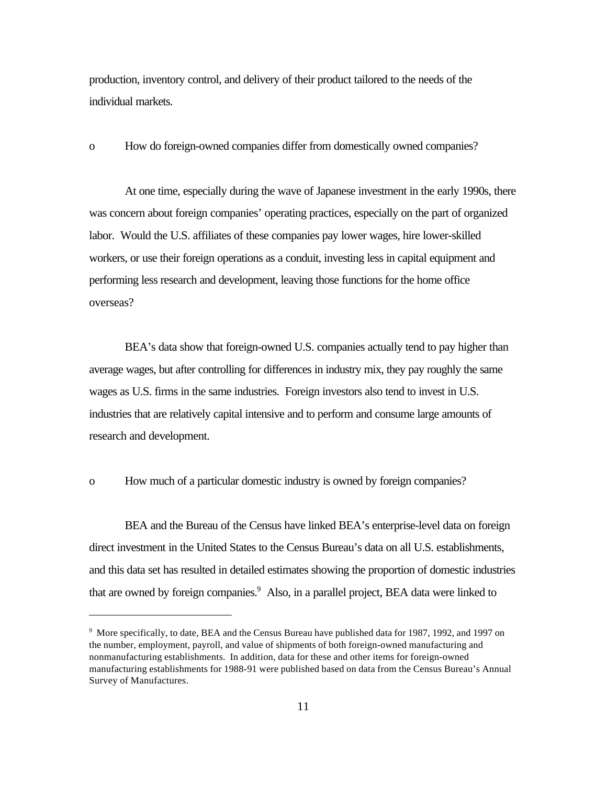production, inventory control, and delivery of their product tailored to the needs of the individual markets.

o How do foreign-owned companies differ from domestically owned companies?

At one time, especially during the wave of Japanese investment in the early 1990s, there was concern about foreign companies' operating practices, especially on the part of organized labor. Would the U.S. affiliates of these companies pay lower wages, hire lower-skilled workers, or use their foreign operations as a conduit, investing less in capital equipment and performing less research and development, leaving those functions for the home office overseas?

BEA's data show that foreign-owned U.S. companies actually tend to pay higher than average wages, but after controlling for differences in industry mix, they pay roughly the same wages as U.S. firms in the same industries. Foreign investors also tend to invest in U.S. industries that are relatively capital intensive and to perform and consume large amounts of research and development.

o How much of a particular domestic industry is owned by foreign companies?

BEA and the Bureau of the Census have linked BEA's enterprise-level data on foreign direct investment in the United States to the Census Bureau's data on all U.S. establishments, and this data set has resulted in detailed estimates showing the proportion of domestic industries that are owned by foreign companies.<sup>9</sup> Also, in a parallel project, BEA data were linked to

<sup>9</sup> More specifically, to date, BEA and the Census Bureau have published data for 1987, 1992, and 1997 on the number, employment, payroll, and value of shipments of both foreign-owned manufacturing and nonmanufacturing establishments. In addition, data for these and other items for foreign-owned manufacturing establishments for 1988-91 were published based on data from the Census Bureau's Annual Survey of Manufactures.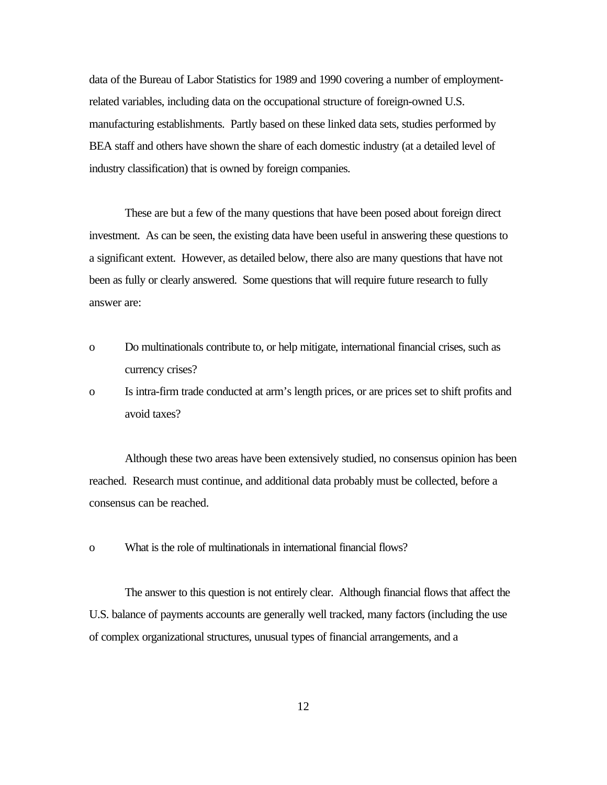data of the Bureau of Labor Statistics for 1989 and 1990 covering a number of employmentrelated variables, including data on the occupational structure of foreign-owned U.S. manufacturing establishments. Partly based on these linked data sets, studies performed by BEA staff and others have shown the share of each domestic industry (at a detailed level of industry classification) that is owned by foreign companies.

These are but a few of the many questions that have been posed about foreign direct investment. As can be seen, the existing data have been useful in answering these questions to a significant extent. However, as detailed below, there also are many questions that have not been as fully or clearly answered. Some questions that will require future research to fully answer are:

- o Do multinationals contribute to, or help mitigate, international financial crises, such as currency crises?
- o Is intra-firm trade conducted at arm's length prices, or are prices set to shift profits and avoid taxes?

Although these two areas have been extensively studied, no consensus opinion has been reached. Research must continue, and additional data probably must be collected, before a consensus can be reached.

o What is the role of multinationals in international financial flows?

The answer to this question is not entirely clear. Although financial flows that affect the U.S. balance of payments accounts are generally well tracked, many factors (including the use of complex organizational structures, unusual types of financial arrangements, and a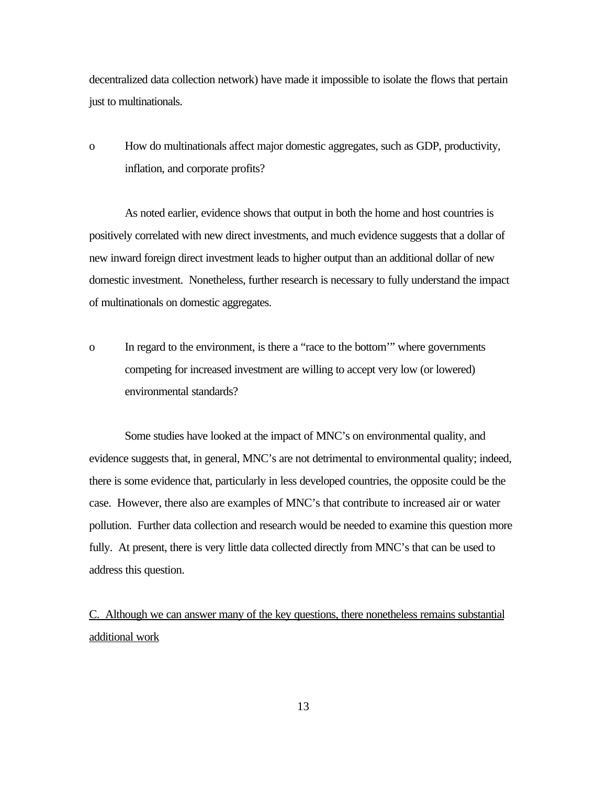decentralized data collection network) have made it impossible to isolate the flows that pertain just to multinationals.

o How do multinationals affect major domestic aggregates, such as GDP, productivity, inflation, and corporate profits?

As noted earlier, evidence shows that output in both the home and host countries is positively correlated with new direct investments, and much evidence suggests that a dollar of new inward foreign direct investment leads to higher output than an additional dollar of new domestic investment. Nonetheless, further research is necessary to fully understand the impact of multinationals on domestic aggregates.

o In regard to the environment, is there a "race to the bottom'" where governments competing for increased investment are willing to accept very low (or lowered) environmental standards?

Some studies have looked at the impact of MNC's on environmental quality, and evidence suggests that, in general, MNC's are not detrimental to environmental quality; indeed, there is some evidence that, particularly in less developed countries, the opposite could be the case. However, there also are examples of MNC's that contribute to increased air or water pollution. Further data collection and research would be needed to examine this question more fully. At present, there is very little data collected directly from MNC's that can be used to address this question.

C. Although we can answer many of the key questions, there nonetheless remains substantial additional work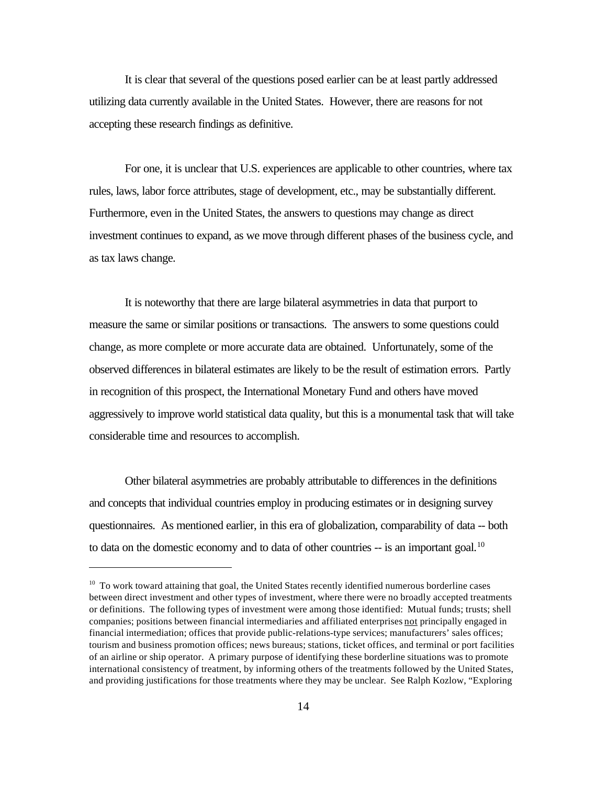It is clear that several of the questions posed earlier can be at least partly addressed utilizing data currently available in the United States. However, there are reasons for not accepting these research findings as definitive.

For one, it is unclear that U.S. experiences are applicable to other countries, where tax rules, laws, labor force attributes, stage of development, etc., may be substantially different. Furthermore, even in the United States, the answers to questions may change as direct investment continues to expand, as we move through different phases of the business cycle, and as tax laws change.

It is noteworthy that there are large bilateral asymmetries in data that purport to measure the same or similar positions or transactions. The answers to some questions could change, as more complete or more accurate data are obtained. Unfortunately, some of the observed differences in bilateral estimates are likely to be the result of estimation errors. Partly in recognition of this prospect, the International Monetary Fund and others have moved aggressively to improve world statistical data quality, but this is a monumental task that will take considerable time and resources to accomplish.

Other bilateral asymmetries are probably attributable to differences in the definitions and concepts that individual countries employ in producing estimates or in designing survey questionnaires. As mentioned earlier, in this era of globalization, comparability of data -- both to data on the domestic economy and to data of other countries  $-$  is an important goal.<sup>10</sup>

 $10$  To work toward attaining that goal, the United States recently identified numerous borderline cases between direct investment and other types of investment, where there were no broadly accepted treatments or definitions. The following types of investment were among those identified: Mutual funds; trusts; shell companies; positions between financial intermediaries and affiliated enterprises not principally engaged in financial intermediation; offices that provide public-relations-type services; manufacturers' sales offices; tourism and business promotion offices; news bureaus; stations, ticket offices, and terminal or port facilities of an airline or ship operator. A primary purpose of identifying these borderline situations was to promote international consistency of treatment, by informing others of the treatments followed by the United States, and providing justifications for those treatments where they may be unclear. See Ralph Kozlow, "Exploring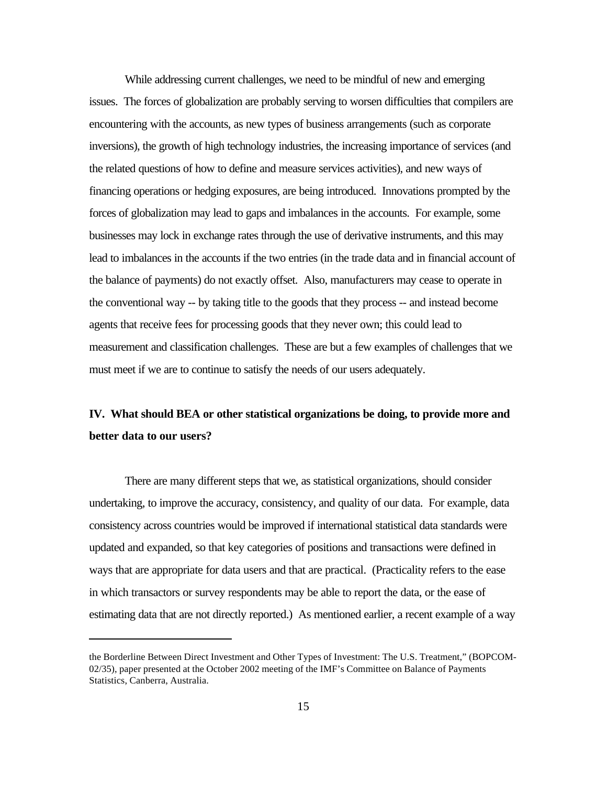While addressing current challenges, we need to be mindful of new and emerging issues. The forces of globalization are probably serving to worsen difficulties that compilers are encountering with the accounts, as new types of business arrangements (such as corporate inversions), the growth of high technology industries, the increasing importance of services (and the related questions of how to define and measure services activities), and new ways of financing operations or hedging exposures, are being introduced. Innovations prompted by the forces of globalization may lead to gaps and imbalances in the accounts. For example, some businesses may lock in exchange rates through the use of derivative instruments, and this may lead to imbalances in the accounts if the two entries (in the trade data and in financial account of the balance of payments) do not exactly offset. Also, manufacturers may cease to operate in the conventional way -- by taking title to the goods that they process -- and instead become agents that receive fees for processing goods that they never own; this could lead to measurement and classification challenges. These are but a few examples of challenges that we must meet if we are to continue to satisfy the needs of our users adequately.

## **IV. What should BEA or other statistical organizations be doing, to provide more and better data to our users?**

There are many different steps that we, as statistical organizations, should consider undertaking, to improve the accuracy, consistency, and quality of our data. For example, data consistency across countries would be improved if international statistical data standards were updated and expanded, so that key categories of positions and transactions were defined in ways that are appropriate for data users and that are practical. (Practicality refers to the ease in which transactors or survey respondents may be able to report the data, or the ease of estimating data that are not directly reported.) As mentioned earlier, a recent example of a way

the Borderline Between Direct Investment and Other Types of Investment: The U.S. Treatment," (BOPCOM-02/35), paper presented at the October 2002 meeting of the IMF's Committee on Balance of Payments Statistics, Canberra, Australia.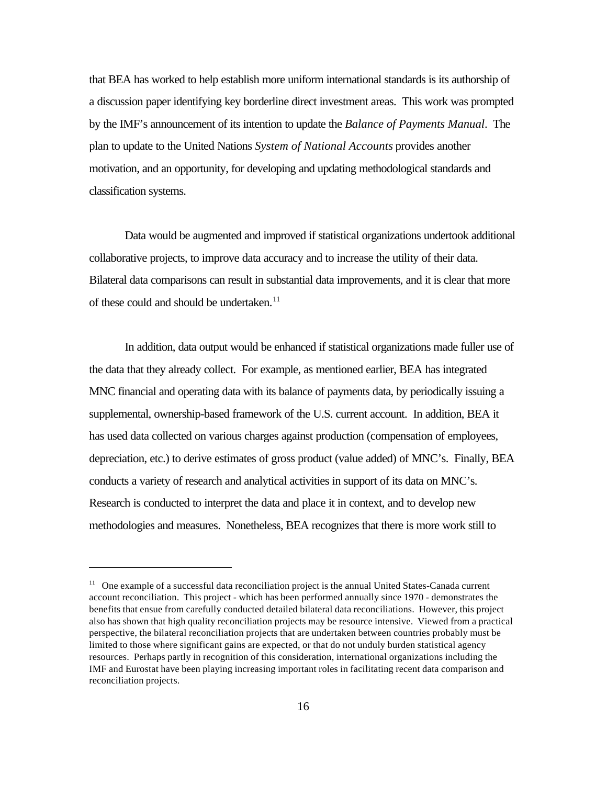that BEA has worked to help establish more uniform international standards is its authorship of a discussion paper identifying key borderline direct investment areas. This work was prompted by the IMF's announcement of its intention to update the *Balance of Payments Manual*. The plan to update to the United Nations *System of National Accounts* provides another motivation, and an opportunity, for developing and updating methodological standards and classification systems.

Data would be augmented and improved if statistical organizations undertook additional collaborative projects, to improve data accuracy and to increase the utility of their data. Bilateral data comparisons can result in substantial data improvements, and it is clear that more of these could and should be undertaken. $11$ 

In addition, data output would be enhanced if statistical organizations made fuller use of the data that they already collect. For example, as mentioned earlier, BEA has integrated MNC financial and operating data with its balance of payments data, by periodically issuing a supplemental, ownership-based framework of the U.S. current account. In addition, BEA it has used data collected on various charges against production (compensation of employees, depreciation, etc.) to derive estimates of gross product (value added) of MNC's. Finally, BEA conducts a variety of research and analytical activities in support of its data on MNC's. Research is conducted to interpret the data and place it in context, and to develop new methodologies and measures. Nonetheless, BEA recognizes that there is more work still to

 $11$  One example of a successful data reconciliation project is the annual United States-Canada current account reconciliation. This project - which has been performed annually since 1970 - demonstrates the benefits that ensue from carefully conducted detailed bilateral data reconciliations. However, this project also has shown that high quality reconciliation projects may be resource intensive. Viewed from a practical perspective, the bilateral reconciliation projects that are undertaken between countries probably must be limited to those where significant gains are expected, or that do not unduly burden statistical agency resources. Perhaps partly in recognition of this consideration, international organizations including the IMF and Eurostat have been playing increasing important roles in facilitating recent data comparison and reconciliation projects.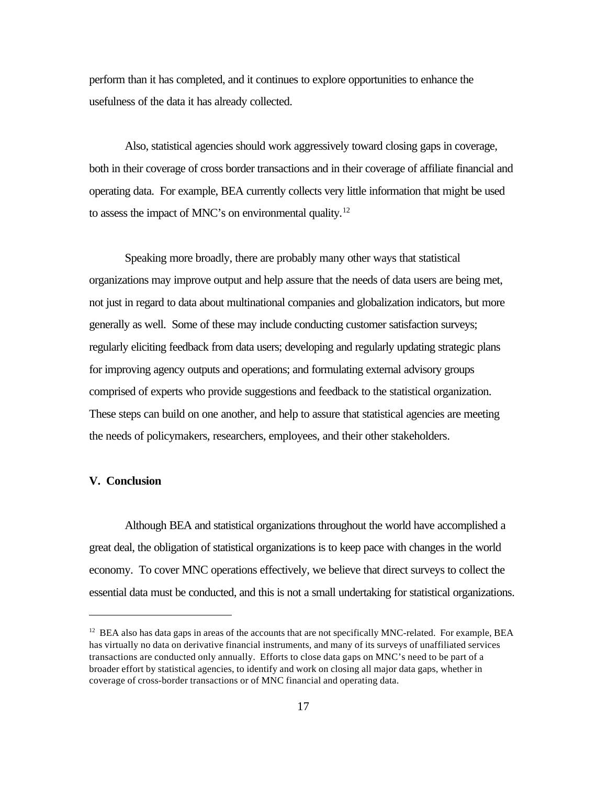perform than it has completed, and it continues to explore opportunities to enhance the usefulness of the data it has already collected.

Also, statistical agencies should work aggressively toward closing gaps in coverage, both in their coverage of cross border transactions and in their coverage of affiliate financial and operating data. For example, BEA currently collects very little information that might be used to assess the impact of MNC's on environmental quality.<sup>12</sup>

Speaking more broadly, there are probably many other ways that statistical organizations may improve output and help assure that the needs of data users are being met, not just in regard to data about multinational companies and globalization indicators, but more generally as well. Some of these may include conducting customer satisfaction surveys; regularly eliciting feedback from data users; developing and regularly updating strategic plans for improving agency outputs and operations; and formulating external advisory groups comprised of experts who provide suggestions and feedback to the statistical organization. These steps can build on one another, and help to assure that statistical agencies are meeting the needs of policymakers, researchers, employees, and their other stakeholders.

#### **V. Conclusion**

Although BEA and statistical organizations throughout the world have accomplished a great deal, the obligation of statistical organizations is to keep pace with changes in the world economy. To cover MNC operations effectively, we believe that direct surveys to collect the essential data must be conducted, and this is not a small undertaking for statistical organizations.

 $12$  BEA also has data gaps in areas of the accounts that are not specifically MNC-related. For example, BEA has virtually no data on derivative financial instruments, and many of its surveys of unaffiliated services transactions are conducted only annually. Efforts to close data gaps on MNC's need to be part of a broader effort by statistical agencies, to identify and work on closing all major data gaps, whether in coverage of cross-border transactions or of MNC financial and operating data.